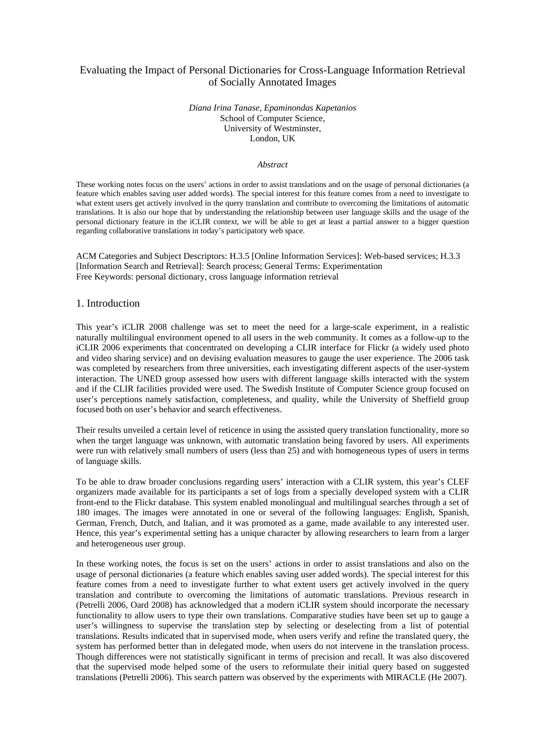# Evaluating the Impact of Personal Dictionaries for Cross-Language Information Retrieval of Socially Annotated Images

*Diana Irina Tanase, Epaminondas Kapetanios*  School of Computer Science, University of Westminster, London, UK

### *Abstract*

These working notes focus on the users' actions in order to assist translations and on the usage of personal dictionaries (a feature which enables saving user added words). The special interest for this feature comes from a need to investigate to what extent users get actively involved in the query translation and contribute to overcoming the limitations of automatic translations. It is also our hope that by understanding the relationship between user language skills and the usage of the personal dictionary feature in the iCLIR context, we will be able to get at least a partial answer to a bigger question regarding collaborative translations in today's participatory web space.

ACM Categories and Subject Descriptors: H.3.5 [Online Information Services]: Web-based services; H.3.3 [Information Search and Retrieval]: Search process; General Terms: Experimentation Free Keywords: personal dictionary, cross language information retrieval

### 1. Introduction

This year's iCLIR 2008 challenge was set to meet the need for a large-scale experiment, in a realistic naturally multilingual environment opened to all users in the web community. It comes as a follow-up to the iCLIR 2006 experiments that concentrated on developing a CLIR interface for Flickr (a widely used photo and video sharing service) and on devising evaluation measures to gauge the user experience. The 2006 task was completed by researchers from three universities, each investigating different aspects of the user-system interaction. The UNED group assessed how users with different language skills interacted with the system and if the CLIR facilities provided were used. The Swedish Institute of Computer Science group focused on user's perceptions namely satisfaction, completeness, and quality, while the University of Sheffield group focused both on user's behavior and search effectiveness.

Their results unveiled a certain level of reticence in using the assisted query translation functionality, more so when the target language was unknown, with automatic translation being favored by users. All experiments were run with relatively small numbers of users (less than 25) and with homogeneous types of users in terms of language skills.

To be able to draw broader conclusions regarding users' interaction with a CLIR system, this year's CLEF organizers made available for its participants a set of logs from a specially developed system with a CLIR front-end to the Flickr database. This system enabled monolingual and multilingual searches through a set of 180 images. The images were annotated in one or several of the following languages: English, Spanish, German, French, Dutch, and Italian, and it was promoted as a game, made available to any interested user. Hence, this year's experimental setting has a unique character by allowing researchers to learn from a larger and heterogeneous user group.

In these working notes, the focus is set on the users' actions in order to assist translations and also on the usage of personal dictionaries (a feature which enables saving user added words). The special interest for this feature comes from a need to investigate further to what extent users get actively involved in the query translation and contribute to overcoming the limitations of automatic translations. Previous research in (Petrelli 2006, Oard 2008) has acknowledged that a modern iCLIR system should incorporate the necessary functionality to allow users to type their own translations. Comparative studies have been set up to gauge a user's willingness to supervise the translation step by selecting or deselecting from a list of potential translations. Results indicated that in supervised mode, when users verify and refine the translated query, the system has performed better than in delegated mode, when users do not intervene in the translation process. Though differences were not statistically significant in terms of precision and recall. It was also discovered that the supervised mode helped some of the users to reformulate their initial query based on suggested translations (Petrelli 2006). This search pattern was observed by the experiments with MIRACLE (He 2007).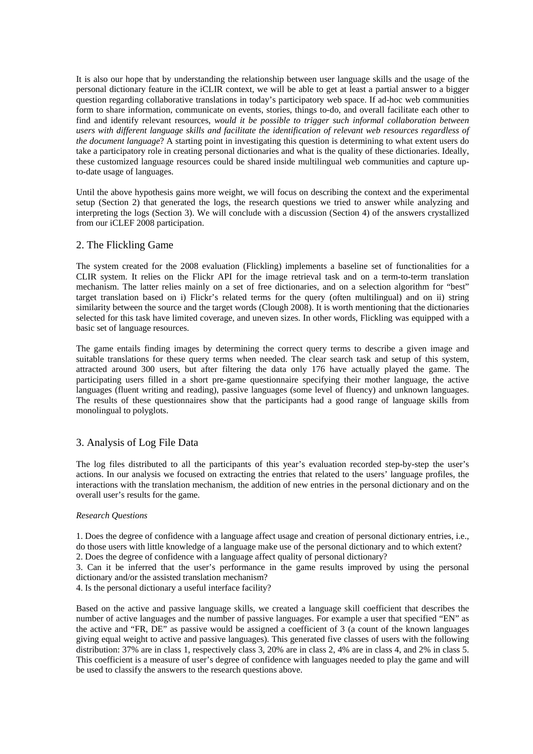It is also our hope that by understanding the relationship between user language skills and the usage of the personal dictionary feature in the iCLIR context, we will be able to get at least a partial answer to a bigger question regarding collaborative translations in today's participatory web space. If ad-hoc web communities form to share information, communicate on events, stories, things to-do, and overall facilitate each other to find and identify relevant resources, *would it be possible to trigger such informal collaboration between users with different language skills and facilitate the identification of relevant web resources regardless of the document language*? A starting point in investigating this question is determining to what extent users do take a participatory role in creating personal dictionaries and what is the quality of these dictionaries. Ideally, these customized language resources could be shared inside multilingual web communities and capture upto-date usage of languages.

Until the above hypothesis gains more weight, we will focus on describing the context and the experimental setup (Section 2) that generated the logs, the research questions we tried to answer while analyzing and interpreting the logs (Section 3). We will conclude with a discussion (Section 4) of the answers crystallized from our iCLEF 2008 participation.

# 2. The Flickling Game

The system created for the 2008 evaluation (Flickling) implements a baseline set of functionalities for a CLIR system. It relies on the Flickr API for the image retrieval task and on a term-to-term translation mechanism. The latter relies mainly on a set of free dictionaries, and on a selection algorithm for "best" target translation based on i) Flickr's related terms for the query (often multilingual) and on ii) string similarity between the source and the target words (Clough 2008). It is worth mentioning that the dictionaries selected for this task have limited coverage, and uneven sizes. In other words, Flickling was equipped with a basic set of language resources.

The game entails finding images by determining the correct query terms to describe a given image and suitable translations for these query terms when needed. The clear search task and setup of this system, attracted around 300 users, but after filtering the data only 176 have actually played the game. The participating users filled in a short pre-game questionnaire specifying their mother language, the active languages (fluent writing and reading), passive languages (some level of fluency) and unknown languages. The results of these questionnaires show that the participants had a good range of language skills from monolingual to polyglots.

# 3. Analysis of Log File Data

The log files distributed to all the participants of this year's evaluation recorded step-by-step the user's actions. In our analysis we focused on extracting the entries that related to the users' language profiles, the interactions with the translation mechanism, the addition of new entries in the personal dictionary and on the overall user's results for the game.

## *Research Questions*

1. Does the degree of confidence with a language affect usage and creation of personal dictionary entries, i.e., do those users with little knowledge of a language make use of the personal dictionary and to which extent?

2. Does the degree of confidence with a language affect quality of personal dictionary?

3. Can it be inferred that the user's performance in the game results improved by using the personal dictionary and/or the assisted translation mechanism?

4. Is the personal dictionary a useful interface facility?

Based on the active and passive language skills, we created a language skill coefficient that describes the number of active languages and the number of passive languages. For example a user that specified "EN" as the active and "FR, DE" as passive would be assigned a coefficient of 3 (a count of the known languages giving equal weight to active and passive languages). This generated five classes of users with the following distribution: 37% are in class 1, respectively class 3, 20% are in class 2, 4% are in class 4, and 2% in class 5. This coefficient is a measure of user's degree of confidence with languages needed to play the game and will be used to classify the answers to the research questions above.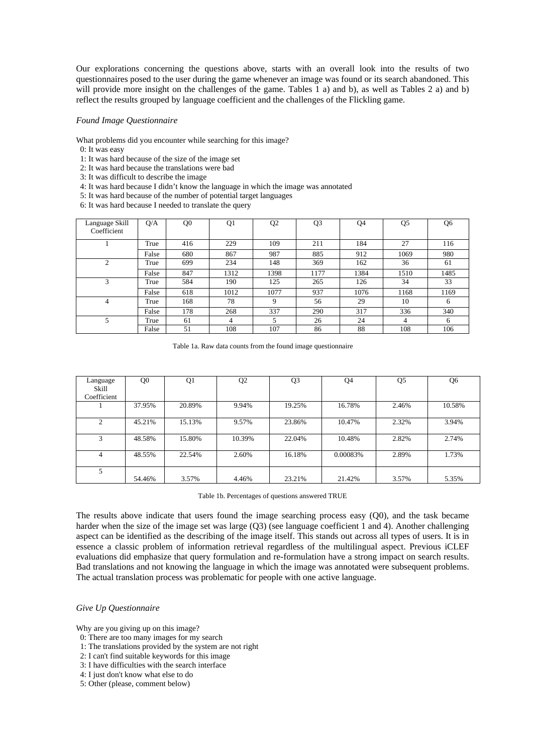Our explorations concerning the questions above, starts with an overall look into the results of two questionnaires posed to the user during the game whenever an image was found or its search abandoned. This will provide more insight on the challenges of the game. Tables 1 a) and b), as well as Tables 2 a) and b) reflect the results grouped by language coefficient and the challenges of the Flickling game.

#### *Found Image Questionnaire*

What problems did you encounter while searching for this image?

- 0: It was easy
- 1: It was hard because of the size of the image set
- 2: It was hard because the translations were bad
- 3: It was difficult to describe the image
- 4: It was hard because I didn't know the language in which the image was annotated
- 5: It was hard because of the number of potential target languages
- 6: It was hard because I needed to translate the query

| Language Skill<br>Coefficient | Q/A   | Q <sub>0</sub> | Q1   | Q <sub>2</sub> | Q <sub>3</sub> | Q4   | Q <sub>5</sub> | Q6   |
|-------------------------------|-------|----------------|------|----------------|----------------|------|----------------|------|
|                               | True  | 416            | 229  | 109            | 211            | 184  | 27             | 116  |
|                               | False | 680            | 867  | 987            | 885            | 912  | 1069           | 980  |
| 2                             | True  | 699            | 234  | 148            | 369            | 162  | 36             | 61   |
|                               | False | 847            | 1312 | 1398           | 1177           | 1384 | 1510           | 1485 |
| 3                             | True  | 584            | 190  | 125            | 265            | 126  | 34             | 33   |
|                               | False | 618            | 1012 | 1077           | 937            | 1076 | 1168           | 1169 |
| 4                             | True  | 168            | 78   | 9              | 56             | 29   | 10             | 6    |
|                               | False | 178            | 268  | 337            | 290            | 317  | 336            | 340  |
| 5                             | True  | 61             | 4    | 5              | 26             | 24   | 4              | 6    |
|                               | False | 51             | 108  | 107            | 86             | 88   | 108            | 106  |

Table 1a. Raw data counts from the found image questionnaire

| Language<br>Skill<br>Coefficient | Q <sub>0</sub> | Q1     | Q <sub>2</sub> | Q <sub>3</sub> | Q4       | Q <sub>5</sub> | Q6     |
|----------------------------------|----------------|--------|----------------|----------------|----------|----------------|--------|
|                                  | 37.95%         | 20.89% | 9.94%          | 19.25%         | 16.78%   | 2.46%          | 10.58% |
| $\overline{c}$                   | 45.21%         | 15.13% | 9.57%          | 23.86%         | 10.47%   | 2.32%          | 3.94%  |
| 3                                | 48.58%         | 15.80% | 10.39%         | 22.04%         | 10.48%   | 2.82%          | 2.74%  |
| 4                                | 48.55%         | 22.54% | 2.60%          | 16.18%         | 0.00083% | 2.89%          | 1.73%  |
| 5                                | 54.46%         | 3.57%  | 4.46%          | 23.21%         | 21.42%   | 3.57%          | 5.35%  |

Table 1b. Percentages of questions answered TRUE

The results above indicate that users found the image searching process easy (Q0), and the task became harder when the size of the image set was large (Q3) (see language coefficient 1 and 4). Another challenging aspect can be identified as the describing of the image itself. This stands out across all types of users. It is in essence a classic problem of information retrieval regardless of the multilingual aspect. Previous iCLEF evaluations did emphasize that query formulation and re-formulation have a strong impact on search results. Bad translations and not knowing the language in which the image was annotated were subsequent problems. The actual translation process was problematic for people with one active language.

#### *Give Up Questionnaire*

Why are you giving up on this image?

- 0: There are too many images for my search
- 1: The translations provided by the system are not right
- 2: I can't find suitable keywords for this image
- 3: I have difficulties with the search interface
- 4: I just don't know what else to do
- 5: Other (please, comment below)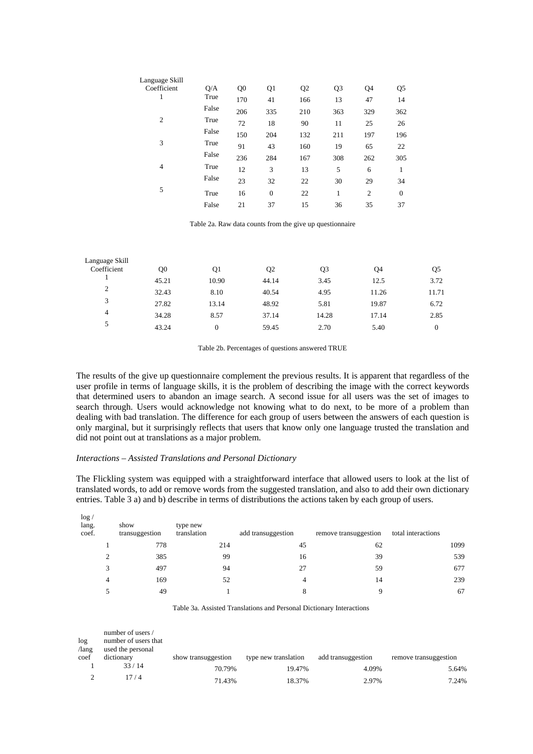| Language Skill |       |                |                |                |                |                |              |
|----------------|-------|----------------|----------------|----------------|----------------|----------------|--------------|
| Coefficient    | Q/A   | Q <sub>0</sub> | Q <sub>1</sub> | Q <sub>2</sub> | Q <sub>3</sub> | Q4             | Q5           |
| 1              | True  | 170            | 41             | 166            | 13             | 47             | 14           |
|                | False | 206            | 335            | 210            | 363            | 329            | 362          |
| $\mathfrak{2}$ | True  | 72             | 18             | 90             | 11             | 25             | 26           |
|                | False | 150            | 204            | 132            | 211            | 197            | 196          |
| 3              | True  | 91             | 43             | 160            | 19             | 65             | 22           |
|                | False | 236            | 284            | 167            | 308            | 262            | 305          |
| $\overline{4}$ | True  | 12             | 3              | 13             | 5              | 6              |              |
|                | False | 23             | 32             | 22             | 30             | 29             | 34           |
| 5              | True  | 16             | $\overline{0}$ | 22             | 1              | $\overline{2}$ | $\mathbf{0}$ |
|                | False | 21             | 37             | 15             | 36             | 35             | 37           |
|                |       |                |                |                |                |                |              |

Table 2a. Raw data counts from the give up questionnaire

| Language Skill |       |       |                |       |       |          |
|----------------|-------|-------|----------------|-------|-------|----------|
| Coefficient    | Q0    | Q1    | Q <sub>2</sub> | Q3    | Q4    | Q5       |
|                | 45.21 | 10.90 | 44.14          | 3.45  | 12.5  | 3.72     |
| 2              | 32.43 | 8.10  | 40.54          | 4.95  | 11.26 | 11.71    |
| 3              | 27.82 | 13.14 | 48.92          | 5.81  | 19.87 | 6.72     |
| 4              | 34.28 | 8.57  | 37.14          | 14.28 | 17.14 | 2.85     |
| 5              | 43.24 | 0     | 59.45          | 2.70  | 5.40  | $\Omega$ |

Table 2b. Percentages of questions answered TRUE

The results of the give up questionnaire complement the previous results. It is apparent that regardless of the user profile in terms of language skills, it is the problem of describing the image with the correct keywords that determined users to abandon an image search. A second issue for all users was the set of images to search through. Users would acknowledge not knowing what to do next, to be more of a problem than dealing with bad translation. The difference for each group of users between the answers of each question is only marginal, but it surprisingly reflects that users that know only one language trusted the translation and did not point out at translations as a major problem.

## *Interactions – Assisted Translations and Personal Dictionary*

The Flickling system was equipped with a straightforward interface that allowed users to look at the list of translated words, to add or remove words from the suggested translation, and also to add their own dictionary entries. Table 3 a) and b) describe in terms of distributions the actions taken by each group of users.

| log <sub>1</sub><br>lang.<br>coef. | show<br>transuggestion | type new<br>translation | add transuggestion | remove transuggestion | total interactions |
|------------------------------------|------------------------|-------------------------|--------------------|-----------------------|--------------------|
|                                    | 778                    | 214                     | 45                 | 62                    | 1099               |
|                                    | 385                    | 99                      | 16                 | 39                    | 539                |
| 3                                  | 497                    | 94                      | 27                 | 59                    | 677                |
| 4                                  | 169                    | 52                      |                    | 14                    | 239                |
|                                    | 49                     |                         |                    | q                     | 67                 |

Table 3a. Assisted Translations and Personal Dictionary Interactions

| log<br>$\Lambda$ ang | number of users /<br>number of users that<br>used the personal |                     |                      |                    |                       |
|----------------------|----------------------------------------------------------------|---------------------|----------------------|--------------------|-----------------------|
| coef                 | dictionary                                                     | show transuggestion | type new translation | add transuggestion | remove transuggestion |
|                      | 33/14                                                          | 70.79%              | 19.47%               | 4.09%              | 5.64%                 |
|                      | 17 / 4                                                         | 71.43%              | 18.37%               | 2.97%              | 7.24%                 |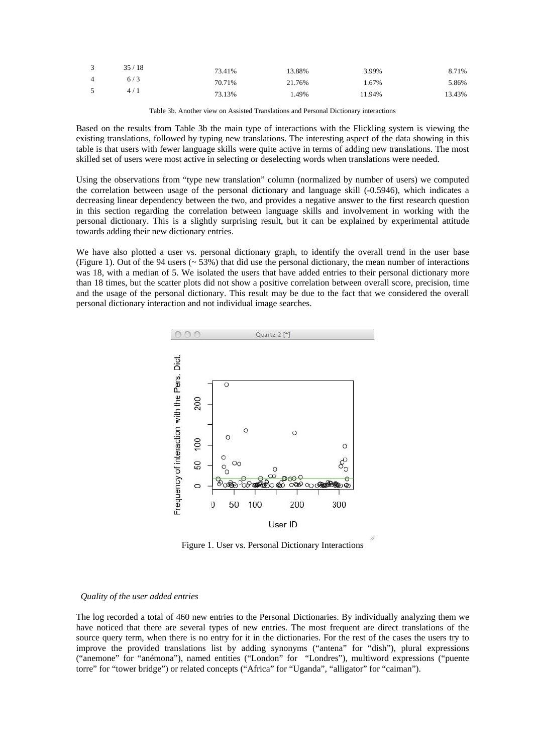| $\mathbf{3}$   | 35/18 | 73.41% | 13.88% | 3.99%  | 8.71%  |
|----------------|-------|--------|--------|--------|--------|
| $\overline{4}$ | 6/3   | 70.71% | 21.76% | .67%   | 5.86%  |
| - 5            | 4/1   | 73.13% | . 49%  | 11.94% | 13.43% |

Table 3b. Another view on Assisted Translations and Personal Dictionary interactions

Based on the results from Table 3b the main type of interactions with the Flickling system is viewing the existing translations, followed by typing new translations. The interesting aspect of the data showing in this table is that users with fewer language skills were quite active in terms of adding new translations. The most skilled set of users were most active in selecting or deselecting words when translations were needed.

Using the observations from "type new translation" column (normalized by number of users) we computed the correlation between usage of the personal dictionary and language skill (-0.5946), which indicates a decreasing linear dependency between the two, and provides a negative answer to the first research question in this section regarding the correlation between language skills and involvement in working with the personal dictionary. This is a slightly surprising result, but it can be explained by experimental attitude towards adding their new dictionary entries.

We have also plotted a user vs. personal dictionary graph, to identify the overall trend in the user base (Figure 1). Out of the 94 users (~ 53%) that did use the personal dictionary, the mean number of interactions was 18, with a median of 5. We isolated the users that have added entries to their personal dictionary more than 18 times, but the scatter plots did not show a positive correlation between overall score, precision, time and the usage of the personal dictionary. This result may be due to the fact that we considered the overall personal dictionary interaction and not individual image searches.



Figure 1. User vs. Personal Dictionary Interactions

### *Quality of the user added entries*

The log recorded a total of 460 new entries to the Personal Dictionaries. By individually analyzing them we have noticed that there are several types of new entries. The most frequent are direct translations of the source query term, when there is no entry for it in the dictionaries. For the rest of the cases the users try to improve the provided translations list by adding synonyms ("antena" for "dish"), plural expressions ("anemone" for "anémona"), named entities ("London" for "Londres"), multiword expressions ("puente torre" for "tower bridge") or related concepts ("Africa" for "Uganda", "alligator" for "caiman").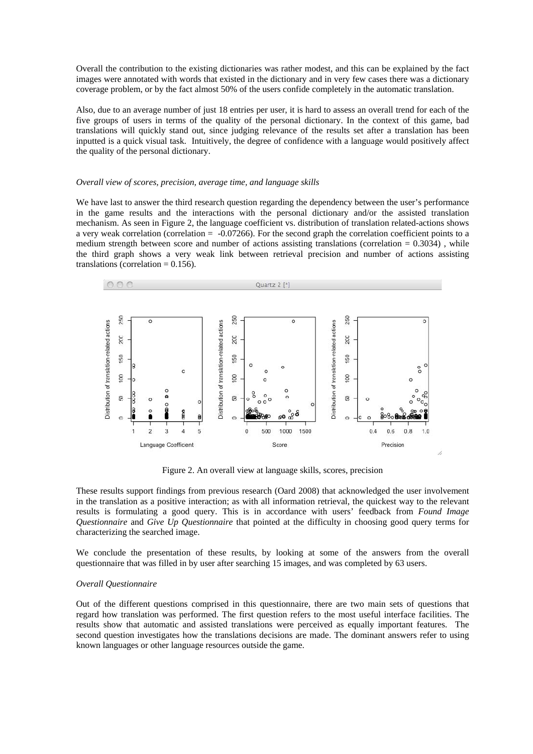Overall the contribution to the existing dictionaries was rather modest, and this can be explained by the fact images were annotated with words that existed in the dictionary and in very few cases there was a dictionary coverage problem, or by the fact almost 50% of the users confide completely in the automatic translation.

Also, due to an average number of just 18 entries per user, it is hard to assess an overall trend for each of the five groups of users in terms of the quality of the personal dictionary. In the context of this game, bad translations will quickly stand out, since judging relevance of the results set after a translation has been inputted is a quick visual task. Intuitively, the degree of confidence with a language would positively affect the quality of the personal dictionary.

#### *Overall view of scores, precision, average time, and language skills*

We have last to answer the third research question regarding the dependency between the user's performance in the game results and the interactions with the personal dictionary and/or the assisted translation mechanism. As seen in Figure 2, the language coefficient vs. distribution of translation related-actions shows a very weak correlation (correlation  $= -0.07266$ ). For the second graph the correlation coefficient points to a medium strength between score and number of actions assisting translations (correlation  $= 0.3034$ ), while the third graph shows a very weak link between retrieval precision and number of actions assisting translations (correlation  $= 0.156$ ).



Figure 2. An overall view at language skills, scores, precision

These results support findings from previous research (Oard 2008) that acknowledged the user involvement in the translation as a positive interaction; as with all information retrieval, the quickest way to the relevant results is formulating a good query. This is in accordance with users' feedback from *Found Image Questionnaire* and *Give Up Questionnaire* that pointed at the difficulty in choosing good query terms for characterizing the searched image.

We conclude the presentation of these results, by looking at some of the answers from the overall questionnaire that was filled in by user after searching 15 images, and was completed by 63 users.

#### *Overall Questionnaire*

Out of the different questions comprised in this questionnaire, there are two main sets of questions that regard how translation was performed. The first question refers to the most useful interface facilities. The results show that automatic and assisted translations were perceived as equally important features. The second question investigates how the translations decisions are made. The dominant answers refer to using known languages or other language resources outside the game.